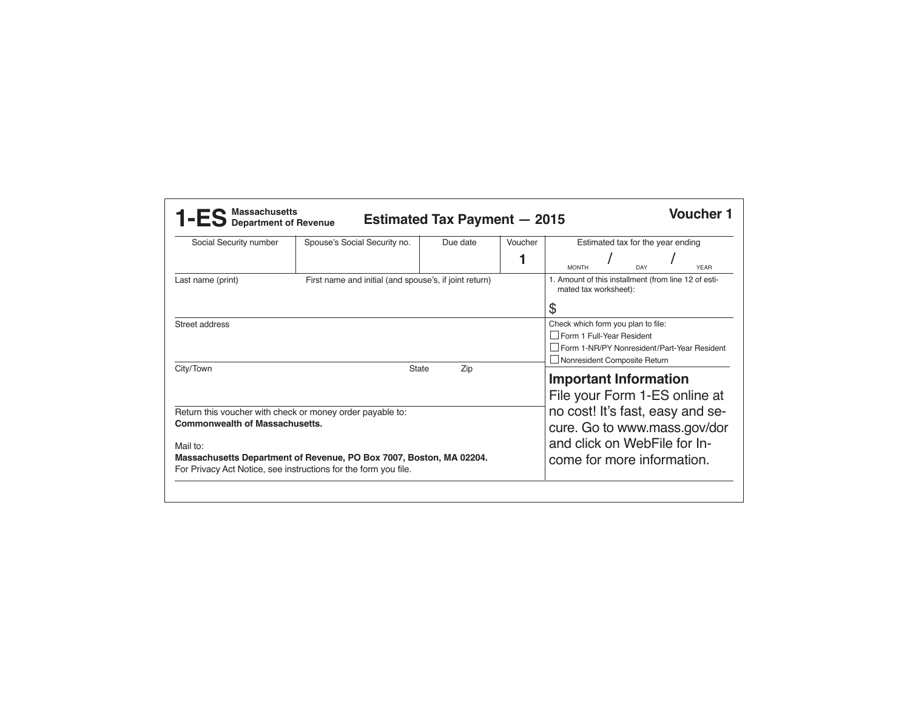| Social Security number                                                                                                                             | Spouse's Social Security no.                           | Due date                                                                            | Voucher | Estimated tax for the year ending                                                                                              |                                                                                                                                                  |     |  |             |  |
|----------------------------------------------------------------------------------------------------------------------------------------------------|--------------------------------------------------------|-------------------------------------------------------------------------------------|---------|--------------------------------------------------------------------------------------------------------------------------------|--------------------------------------------------------------------------------------------------------------------------------------------------|-----|--|-------------|--|
|                                                                                                                                                    |                                                        |                                                                                     |         | <b>MONTH</b>                                                                                                                   |                                                                                                                                                  | DAY |  | <b>YEAR</b> |  |
| Last name (print)                                                                                                                                  | First name and initial (and spouse's, if joint return) | 1. Amount of this installment (from line 12 of esti-<br>mated tax worksheet):<br>\$ |         |                                                                                                                                |                                                                                                                                                  |     |  |             |  |
| Street address                                                                                                                                     |                                                        |                                                                                     |         |                                                                                                                                | Check which form you plan to file:<br>Form 1 Full-Year Resident<br>Form 1-NR/PY Nonresident/Part-Year Resident<br>□ Nonresident Composite Return |     |  |             |  |
| City/Town<br>State<br>Zip                                                                                                                          |                                                        |                                                                                     |         |                                                                                                                                | <b>Important Information</b><br>File your Form 1-ES online at                                                                                    |     |  |             |  |
| Return this voucher with check or money order payable to:<br><b>Commonwealth of Massachusetts.</b>                                                 |                                                        |                                                                                     |         | no cost! It's fast, easy and se-<br>cure. Go to www.mass.gov/dor<br>and click on WebFile for In-<br>come for more information. |                                                                                                                                                  |     |  |             |  |
| Mail to:<br>Massachusetts Department of Revenue, PO Box 7007, Boston, MA 02204.<br>For Privacy Act Notice, see instructions for the form you file. |                                                        |                                                                                     |         |                                                                                                                                |                                                                                                                                                  |     |  |             |  |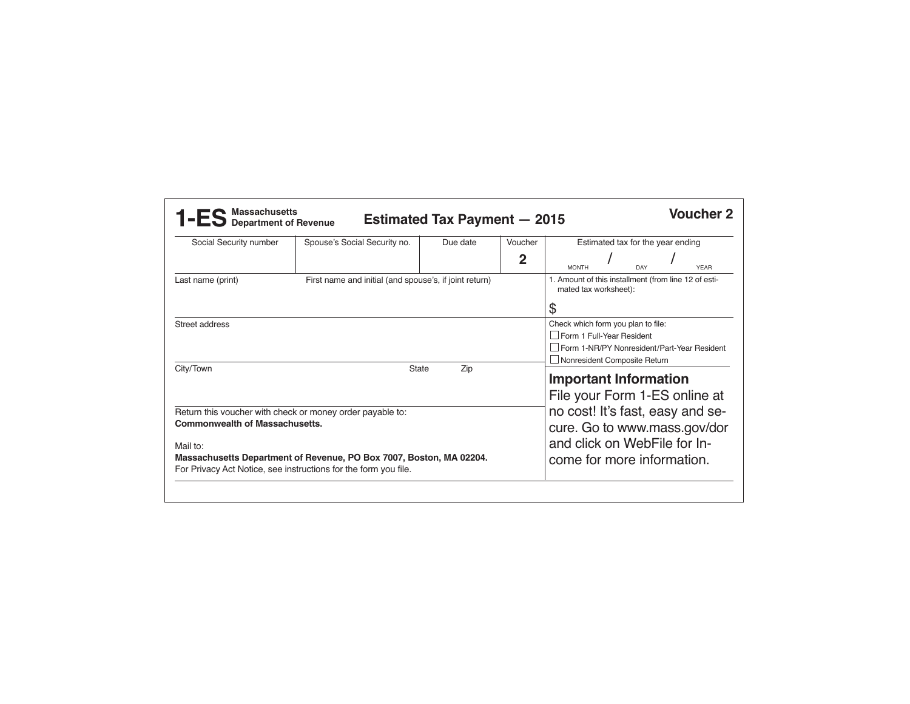| Social Security number                                                                                                                             | Spouse's Social Security no.                           | Due date                                                                            | Voucher<br>$\overline{2}$ | Estimated tax for the year ending                                                                                              |                                                                                                                                                  |            |  |             |  |
|----------------------------------------------------------------------------------------------------------------------------------------------------|--------------------------------------------------------|-------------------------------------------------------------------------------------|---------------------------|--------------------------------------------------------------------------------------------------------------------------------|--------------------------------------------------------------------------------------------------------------------------------------------------|------------|--|-------------|--|
|                                                                                                                                                    |                                                        |                                                                                     |                           | <b>MONTH</b>                                                                                                                   |                                                                                                                                                  | <b>DAY</b> |  | <b>YEAR</b> |  |
| Last name (print)                                                                                                                                  | First name and initial (and spouse's, if joint return) | 1. Amount of this installment (from line 12 of esti-<br>mated tax worksheet):<br>\$ |                           |                                                                                                                                |                                                                                                                                                  |            |  |             |  |
| Street address                                                                                                                                     |                                                        |                                                                                     |                           |                                                                                                                                | Check which form you plan to file:<br>Form 1 Full-Year Resident<br>Form 1-NR/PY Nonresident/Part-Year Resident<br>□ Nonresident Composite Return |            |  |             |  |
| City/Town<br>State<br>Zip                                                                                                                          |                                                        |                                                                                     |                           |                                                                                                                                | <b>Important Information</b><br>File your Form 1-ES online at                                                                                    |            |  |             |  |
| Return this voucher with check or money order payable to:<br><b>Commonwealth of Massachusetts.</b>                                                 |                                                        |                                                                                     |                           | no cost! It's fast, easy and se-<br>cure. Go to www.mass.gov/dor<br>and click on WebFile for In-<br>come for more information. |                                                                                                                                                  |            |  |             |  |
| Mail to:<br>Massachusetts Department of Revenue, PO Box 7007, Boston, MA 02204.<br>For Privacy Act Notice, see instructions for the form you file. |                                                        |                                                                                     |                           |                                                                                                                                |                                                                                                                                                  |            |  |             |  |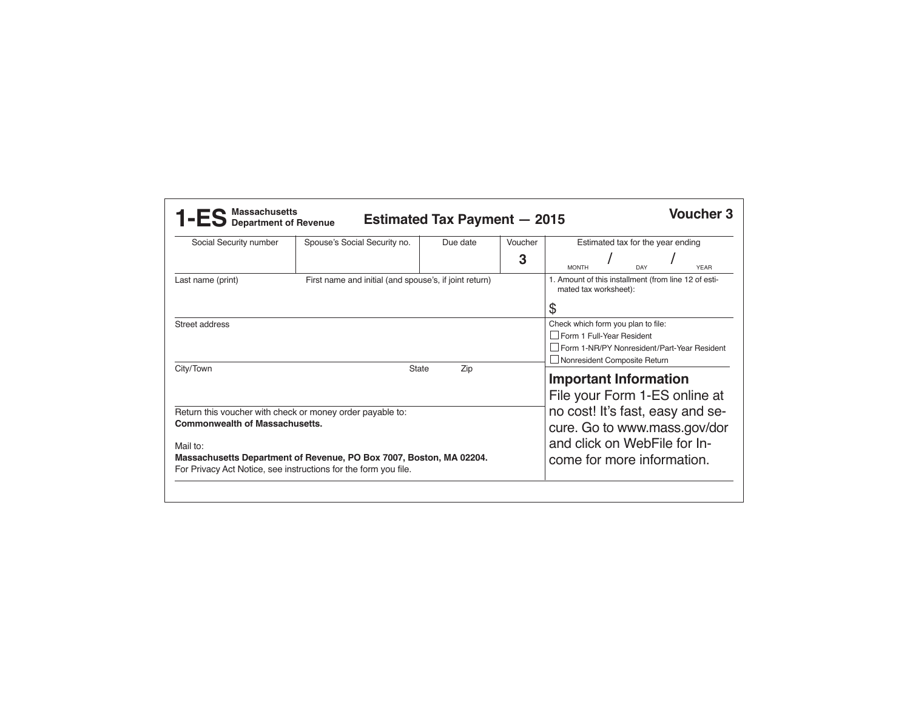| Social Security number                                                      | Spouse's Social Security no.                                        | Due date | Voucher<br>3 | Estimated tax for the year ending                                             |                                                                             |            |  |             |  |  |
|-----------------------------------------------------------------------------|---------------------------------------------------------------------|----------|--------------|-------------------------------------------------------------------------------|-----------------------------------------------------------------------------|------------|--|-------------|--|--|
|                                                                             |                                                                     |          |              | <b>MONTH</b>                                                                  |                                                                             | <b>DAY</b> |  | <b>YEAR</b> |  |  |
| First name and initial (and spouse's, if joint return)<br>Last name (print) |                                                                     |          |              | 1. Amount of this installment (from line 12 of esti-<br>mated tax worksheet): |                                                                             |            |  |             |  |  |
|                                                                             |                                                                     |          |              | \$                                                                            |                                                                             |            |  |             |  |  |
| Street address                                                              |                                                                     |          |              | Check which form you plan to file:<br>Form 1 Full-Year Resident               |                                                                             |            |  |             |  |  |
|                                                                             |                                                                     |          |              |                                                                               |                                                                             |            |  |             |  |  |
|                                                                             |                                                                     |          |              |                                                                               | Form 1-NR/PY Nonresident/Part-Year Resident<br>Nonresident Composite Return |            |  |             |  |  |
| City/Town<br>State<br>Zip                                                   |                                                                     |          |              | <b>Important Information</b>                                                  |                                                                             |            |  |             |  |  |
|                                                                             |                                                                     |          |              | File your Form 1-ES online at                                                 |                                                                             |            |  |             |  |  |
| Return this voucher with check or money order payable to:                   |                                                                     |          |              |                                                                               | no cost! It's fast, easy and se-                                            |            |  |             |  |  |
| <b>Commonwealth of Massachusetts.</b>                                       |                                                                     |          |              | cure. Go to www.mass.gov/dor                                                  |                                                                             |            |  |             |  |  |
| Mail to:                                                                    |                                                                     |          |              | and click on WebFile for In-                                                  |                                                                             |            |  |             |  |  |
|                                                                             | Massachusetts Department of Revenue, PO Box 7007, Boston, MA 02204. |          |              |                                                                               |                                                                             |            |  |             |  |  |
|                                                                             | For Privacy Act Notice, see instructions for the form you file.     |          |              | come for more information.                                                    |                                                                             |            |  |             |  |  |